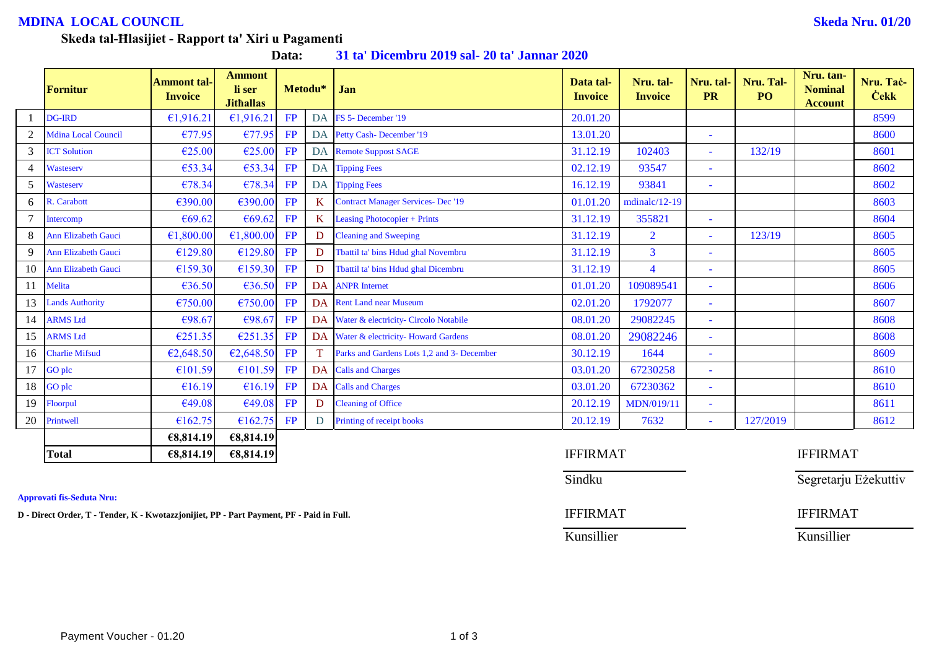## **MDINA LOCAL COUNCIL Skeda Nru. 01/20**

### **Skeda tal-Ħlasijiet - Rapport ta' Xiri u Pagamenti**

| Data: |  |  |  | 31 ta' Dicembru 2019 sal- 20 ta' Jannar 2020 |
|-------|--|--|--|----------------------------------------------|
|-------|--|--|--|----------------------------------------------|

|    | <b>Fornitur</b>            | <b>Ammont tal-</b><br><b>Invoice</b> | <b>Ammont</b><br>li ser<br><b>Jithallas</b> | Metodu* |                 | Jan                                        | Data tal-<br><b>Invoice</b> | Nru. tal-<br><b>Invoice</b> | Nru. tal-<br><b>PR</b>   | Nru. Tal-<br>PO | Nru. tan-<br><b>Nominal</b><br><b>Account</b> | Nru. Tač-<br><b>Cekk</b> |
|----|----------------------------|--------------------------------------|---------------------------------------------|---------|-----------------|--------------------------------------------|-----------------------------|-----------------------------|--------------------------|-----------------|-----------------------------------------------|--------------------------|
|    | <b>DG-IRD</b>              | €1,916.21                            | €1,916.21                                   | FP      | <b>DA</b>       | FS 5- December '19                         | 20.01.20                    |                             |                          |                 |                                               | 8599                     |
|    | <b>Mdina Local Council</b> | €77.95                               | €77.95                                      | FP      |                 | DA Petty Cash-December '19                 | 13.01.20                    |                             | $\equiv$                 |                 |                                               | 8600                     |
| 3  | <b>ICT Solution</b>        | €25.00                               | €25.00                                      | FP      |                 | <b>DA</b> Remote Suppost SAGE              | 31.12.19                    | 102403                      | $\blacksquare$           | 132/19          |                                               | 8601                     |
|    | Wasteserv                  | €53.34                               | €53.34                                      | FP      |                 | DA Tipping Fees                            | 02.12.19                    | 93547                       | $\overline{\phantom{a}}$ |                 |                                               | 8602                     |
| 5  | Wasteserv                  | €78.34                               | €78.34                                      | FP      |                 | DA Tipping Fees                            | 16.12.19                    | 93841                       | $\blacksquare$           |                 |                                               | 8602                     |
| 6  | R. Carabott                | €390.00                              | €390.00                                     | FP      | $K_{\parallel}$ | <b>Contract Manager Services- Dec '19</b>  | 01.01.20                    | $mdinalc/12-19$             |                          |                 |                                               | 8603                     |
|    | Intercomp                  | €69.62                               | €69.62                                      | FP      | $K_{\parallel}$ | <b>Leasing Photocopier + Prints</b>        | 31.12.19                    | 355821                      |                          |                 |                                               | 8604                     |
| 8  | <b>Ann Elizabeth Gauci</b> | €1,800.00                            | €1,800.00                                   | FP      | D.              | <b>Cleaning and Sweeping</b>               | 31.12.19                    | $\overline{2}$              | $\blacksquare$           | 123/19          |                                               | 8605                     |
| 9  | <b>Ann Elizabeth Gauci</b> | €129.80                              | €129.80                                     | FP      | D.              | Tbattil ta' bins Hdud ghal Novembru        | 31.12.19                    | $\overline{3}$              | $\overline{\phantom{a}}$ |                 |                                               | 8605                     |
| 10 | <b>Ann Elizabeth Gauci</b> | €159.30                              | €159.30                                     | FP      | D               | Tbattil ta' bins Hdud ghal Dicembru        | 31.12.19                    | $\overline{4}$              | $\overline{\phantom{a}}$ |                 |                                               | 8605                     |
| 11 | Melita                     | €36.50                               | €36.50                                      | FP      |                 | <b>DA</b> ANPR Internet                    | 01.01.20                    | 109089541                   | $\overline{\phantom{a}}$ |                 |                                               | 8606                     |
| 13 | <b>Lands Authority</b>     | €750.00                              | €750.00                                     | FP      |                 | DA Rent Land near Museum                   | 02.01.20                    | 1792077                     |                          |                 |                                               | 8607                     |
| 14 | <b>ARMS</b> Ltd            | €98.67                               | €98.67                                      | FP      |                 | DA Water & electricity- Circolo Notabile   | 08.01.20                    | 29082245                    | $\blacksquare$           |                 |                                               | 8608                     |
| 15 | <b>ARMS Ltd</b>            | €251.35                              | E251.35                                     | FP      |                 | DA Water & electricity-Howard Gardens      | 08.01.20                    | 29082246                    | $\blacksquare$           |                 |                                               | 8608                     |
| 16 | <b>Charlie Mifsud</b>      | €2,648.50                            | €2,648.50                                   | FP      |                 | Parks and Gardens Lots 1.2 and 3- December | 30.12.19                    | 1644                        | $\blacksquare$           |                 |                                               | 8609                     |
| 17 | GO plc                     | €101.59                              | €101.59                                     | FP      |                 | DA Calls and Charges                       | 03.01.20                    | 67230258                    | $\blacksquare$           |                 |                                               | 8610                     |
| 18 | GO plc                     | €16.19                               | £16.19                                      | FP      |                 | DA Calls and Charges                       | 03.01.20                    | 67230362                    | $\overline{\phantom{a}}$ |                 |                                               | 8610                     |
| 19 | Floorpul                   | €49.08                               | €49.08                                      | FP      | D               | <b>Cleaning of Office</b>                  | 20.12.19                    | <b>MDN/019/11</b>           |                          |                 |                                               | 8611                     |
| 20 | Printwell                  | €162.75                              | €162.75                                     | FP      | D.              | Printing of receipt books                  | 20.12.19                    | 7632                        | $\bar{a}$                | 127/2019        |                                               | 8612                     |
|    |                            | €8,814.19                            | €8,814.19                                   |         |                 |                                            |                             |                             |                          |                 |                                               |                          |
|    | <b>Total</b>               | €8,814.19                            | €8,814.19                                   |         |                 |                                            | <b>IFFIRMAT</b>             |                             |                          |                 | <b>IFFIRMAT</b>                               |                          |

**Approvati fis-Seduta Nru:**

**D** - Direct Order, T - Tender, K - Kwotazzjonijiet, PP - Part Payment, PF - Paid in Full. **IFFIRMAT** IFFIRMAT

Sindku Segretarju Eżekuttiv

Kunsillier Kunsillier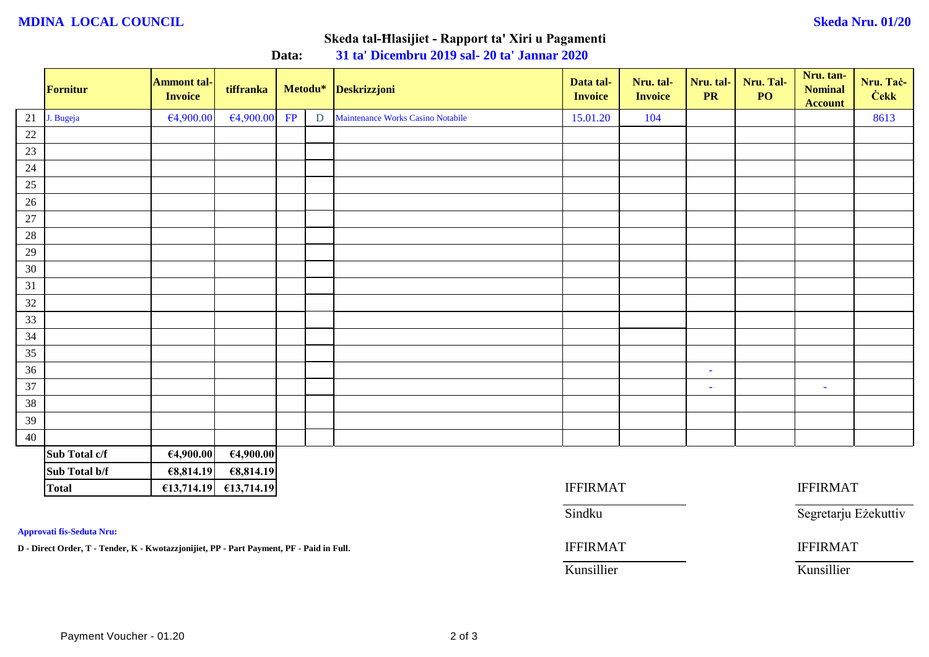### **MDINA LOCAL COUNCIL Skeda Nru. 01/20**

# **Skeda tal-Ħlasijiet - Rapport ta' Xiri u Pagamenti**

|                 | Fornitur      | <b>Ammont tal-</b><br><b>Invoice</b> | tiffranka  |    |   | Metodu* Deskrizzjoni                     | Data tal-<br><b>Invoice</b> | Nru. tal-<br><b>Invoice</b> | Nru. tal-<br><b>PR</b> | Nru. Tal-<br>PO | Nru. tan-<br><b>Nominal</b><br><b>Account</b> | Nru. Tač-<br><b>Cekk</b> |  |  |
|-----------------|---------------|--------------------------------------|------------|----|---|------------------------------------------|-----------------------------|-----------------------------|------------------------|-----------------|-----------------------------------------------|--------------------------|--|--|
| 21              | J. Bugeja     | €4,900.00                            | €4,900.00  | FP | D | <b>Maintenance Works Casino Notabile</b> | 15.01.20                    | 104                         |                        |                 |                                               | 8613                     |  |  |
| $\frac{22}{1}$  |               |                                      |            |    |   |                                          |                             |                             |                        |                 |                                               |                          |  |  |
| 23              |               |                                      |            |    |   |                                          |                             |                             |                        |                 |                                               |                          |  |  |
| 24              |               |                                      |            |    |   |                                          |                             |                             |                        |                 |                                               |                          |  |  |
| 25              |               |                                      |            |    |   |                                          |                             |                             |                        |                 |                                               |                          |  |  |
| 26              |               |                                      |            |    |   |                                          |                             |                             |                        |                 |                                               |                          |  |  |
| 27              |               |                                      |            |    |   |                                          |                             |                             |                        |                 |                                               |                          |  |  |
| $\frac{28}{1}$  |               |                                      |            |    |   |                                          |                             |                             |                        |                 |                                               |                          |  |  |
| 29              |               |                                      |            |    |   |                                          |                             |                             |                        |                 |                                               |                          |  |  |
| 30              |               |                                      |            |    |   |                                          |                             |                             |                        |                 |                                               |                          |  |  |
| 31              |               |                                      |            |    |   |                                          |                             |                             |                        |                 |                                               |                          |  |  |
| 32              |               |                                      |            |    |   |                                          |                             |                             |                        |                 |                                               |                          |  |  |
| 33              |               |                                      |            |    |   |                                          |                             |                             |                        |                 |                                               |                          |  |  |
| 34              |               |                                      |            |    |   |                                          |                             |                             |                        |                 |                                               |                          |  |  |
| 35              |               |                                      |            |    |   |                                          |                             |                             |                        |                 |                                               |                          |  |  |
| 36              |               |                                      |            |    |   |                                          |                             |                             | $\sim$                 |                 |                                               |                          |  |  |
| $\overline{37}$ |               |                                      |            |    |   |                                          |                             |                             | $\sim$                 |                 | $\sim$                                        |                          |  |  |
| 38              |               |                                      |            |    |   |                                          |                             |                             |                        |                 |                                               |                          |  |  |
| 39              |               |                                      |            |    |   |                                          |                             |                             |                        |                 |                                               |                          |  |  |
| 40              |               |                                      |            |    |   |                                          |                             |                             |                        |                 |                                               |                          |  |  |
|                 | Sub Total c/f | €4,900.00                            | 64,900.00  |    |   |                                          |                             |                             |                        |                 |                                               |                          |  |  |
|                 | Sub Total b/f | €8,814.19                            | €8,814.19  |    |   |                                          |                             |                             |                        |                 |                                               |                          |  |  |
|                 | <b>Total</b>  | £13,714.19                           | £13,714.19 |    |   |                                          | <b>IFFIRMAT</b>             |                             |                        |                 | <b>IFFIRMAT</b>                               |                          |  |  |

**Data: 31 ta' Dicembru 2019 sal- 20 ta' Jannar 2020**

**Approvati fis-Seduta Nru:**

**D - Direct Order, T - Tender, K - Kwotazzjonijiet, PP - Part Payment, PF - Paid in Full.** IFFIRMAT IFFIRMAT

| <b>IFFIRMAT</b> | <b>IFFIRMAT</b>      |
|-----------------|----------------------|
| Sindku          | Segretarju Eżekuttiv |
| <b>IFFIRMAT</b> | <b>IFFIRMAT</b>      |
|                 |                      |

Kunsillier Kunsillier